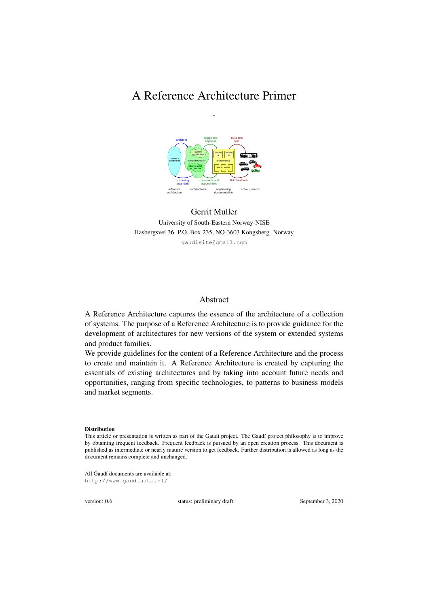# A Reference Architecture Primer

*-*



#### Gerrit Muller University of South-Eastern Norway-NISE Hasbergsvei 36 P.O. Box 235, NO-3603 Kongsberg Norway gaudisite@gmail.com

#### Abstract

A Reference Architecture captures the essence of the architecture of a collection of systems. The purpose of a Reference Architecture is to provide guidance for the development of architectures for new versions of the system or extended systems and product families.

We provide guidelines for the content of a Reference Architecture and the process to create and maintain it. A Reference Architecture is created by capturing the essentials of existing architectures and by taking into account future needs and opportunities, ranging from specific technologies, to patterns to business models and market segments.

#### **Distribution**

All Gaudí documents are available at: http://www.gaudisite.nl/

version: 0.6 status: preliminary draft September 3, 2020

This article or presentation is written as part of the Gaudí project. The Gaudí project philosophy is to improve by obtaining frequent feedback. Frequent feedback is pursued by an open creation process. This document is published as intermediate or nearly mature version to get feedback. Further distribution is allowed as long as the document remains complete and unchanged.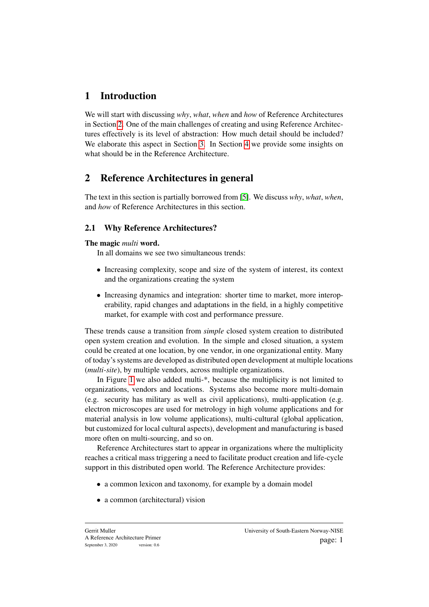# 1 Introduction

We will start with discussing *why*, *what*, *when* and *how* of Reference Architectures in Section [2.](#page-1-0) One of the main challenges of creating and using Reference Architectures effectively is its level of abstraction: How much detail should be included? We elaborate this aspect in Section [3.](#page-8-0) In Section [4](#page-13-0) we provide some insights on what should be in the Reference Architecture.

# <span id="page-1-0"></span>2 Reference Architectures in general

The text in this section is partially borrowed from [\[5\]](#page-19-0). We discuss *why*, *what*, *when*, and *how* of Reference Architectures in this section.

# <span id="page-1-1"></span>2.1 Why Reference Architectures?

### The magic *multi* word.

In all domains we see two simultaneous trends:

- Increasing complexity, scope and size of the system of interest, its context and the organizations creating the system
- Increasing dynamics and integration: shorter time to market, more interoperability, rapid changes and adaptations in the field, in a highly competitive market, for example with cost and performance pressure.

These trends cause a transition from *simple* closed system creation to distributed open system creation and evolution. In the simple and closed situation, a system could be created at one location, by one vendor, in one organizational entity. Many of today's systems are developed as distributed open development at multiple locations (*multi-site*), by multiple vendors, across multiple organizations.

In Figure [1](#page-2-0) we also added multi-\*, because the multiplicity is not limited to organizations, vendors and locations. Systems also become more multi-domain (e.g. security has military as well as civil applications), multi-application (e.g. electron microscopes are used for metrology in high volume applications and for material analysis in low volume applications), multi-cultural (global application, but customized for local cultural aspects), development and manufacturing is based more often on multi-sourcing, and so on.

Reference Architectures start to appear in organizations where the multiplicity reaches a critical mass triggering a need to facilitate product creation and life-cycle support in this distributed open world. The Reference Architecture provides:

- a common lexicon and taxonomy, for example by a domain model
- a common (architectural) vision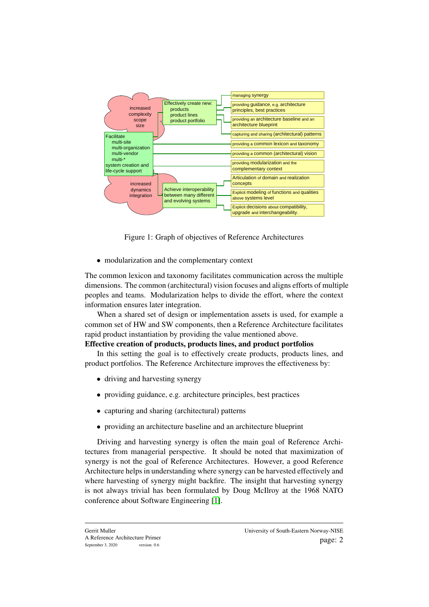

<span id="page-2-0"></span>Figure 1: Graph of objectives of Reference Architectures

• modularization and the complementary context

The common lexicon and taxonomy facilitates communication across the multiple dimensions. The common (architectural) vision focuses and aligns efforts of multiple peoples and teams. Modularization helps to divide the effort, where the context information ensures later integration.

When a shared set of design or implementation assets is used, for example a common set of HW and SW components, then a Reference Architecture facilitates rapid product instantiation by providing the value mentioned above.

### Effective creation of products, products lines, and product portfolios

In this setting the goal is to effectively create products, products lines, and product portfolios. The Reference Architecture improves the effectiveness by:

- driving and harvesting synergy
- providing guidance, e.g. architecture principles, best practices
- capturing and sharing (architectural) patterns
- providing an architecture baseline and an architecture blueprint

Driving and harvesting synergy is often the main goal of Reference Architectures from managerial perspective. It should be noted that maximization of synergy is not the goal of Reference Architectures. However, a good Reference Architecture helps in understanding where synergy can be harvested effectively and where harvesting of synergy might backfire. The insight that harvesting synergy is not always trivial has been formulated by Doug McIlroy at the 1968 NATO conference about Software Engineering [\[1\]](#page-19-1).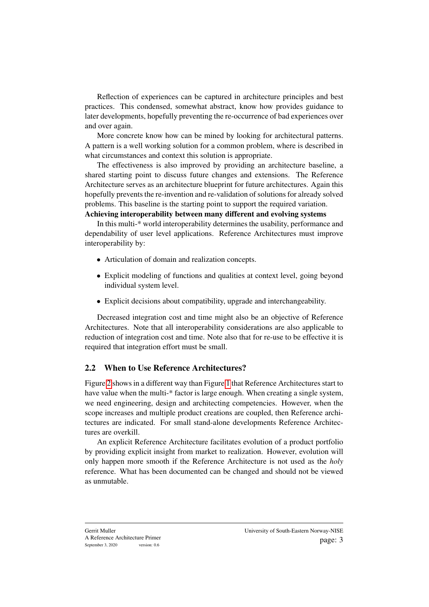Reflection of experiences can be captured in architecture principles and best practices. This condensed, somewhat abstract, know how provides guidance to later developments, hopefully preventing the re-occurrence of bad experiences over and over again.

More concrete know how can be mined by looking for architectural patterns. A pattern is a well working solution for a common problem, where is described in what circumstances and context this solution is appropriate.

The effectiveness is also improved by providing an architecture baseline, a shared starting point to discuss future changes and extensions. The Reference Architecture serves as an architecture blueprint for future architectures. Again this hopefully prevents the re-invention and re-validation of solutions for already solved problems. This baseline is the starting point to support the required variation. Achieving interoperability between many different and evolving systems

In this multi-\* world interoperability determines the usability, performance and dependability of user level applications. Reference Architectures must improve interoperability by:

- Articulation of domain and realization concepts.
- Explicit modeling of functions and qualities at context level, going beyond individual system level.
- Explicit decisions about compatibility, upgrade and interchangeability.

Decreased integration cost and time might also be an objective of Reference Architectures. Note that all interoperability considerations are also applicable to reduction of integration cost and time. Note also that for re-use to be effective it is required that integration effort must be small.

#### 2.2 When to Use Reference Architectures?

Figure [2](#page-4-0) shows in a different way than Figure [1](#page-2-0) that Reference Architectures start to have value when the multi-\* factor is large enough. When creating a single system, we need engineering, design and architecting competencies. However, when the scope increases and multiple product creations are coupled, then Reference architectures are indicated. For small stand-alone developments Reference Architectures are overkill.

An explicit Reference Architecture facilitates evolution of a product portfolio by providing explicit insight from market to realization. However, evolution will only happen more smooth if the Reference Architecture is not used as the *holy* reference. What has been documented can be changed and should not be viewed as unmutable.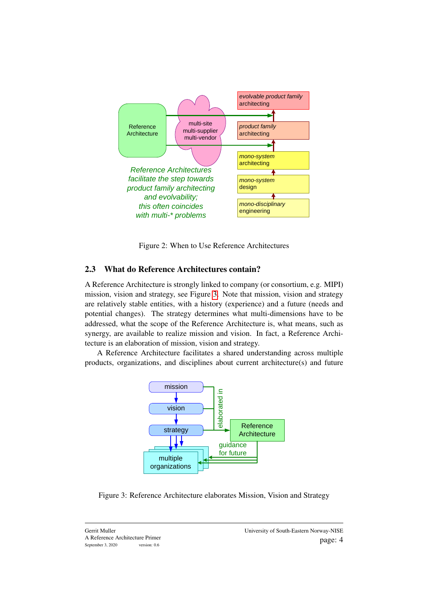

<span id="page-4-0"></span>Figure 2: When to Use Reference Architectures

### 2.3 What do Reference Architectures contain?

A Reference Architecture is strongly linked to company (or consortium, e.g. MIPI) mission, vision and strategy, see Figure [3.](#page-4-1) Note that mission, vision and strategy are relatively stable entities, with a history (experience) and a future (needs and potential changes). The strategy determines what multi-dimensions have to be addressed, what the scope of the Reference Architecture is, what means, such as synergy, are available to realize mission and vision. In fact, a Reference Architecture is an elaboration of mission, vision and strategy.

A Reference Architecture facilitates a shared understanding across multiple products, organizations, and disciplines about current architecture(s) and future



<span id="page-4-1"></span>Figure 3: Reference Architecture elaborates Mission, Vision and Strategy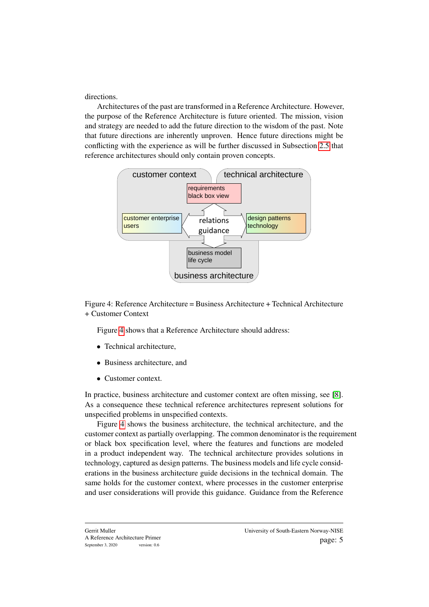directions.

Architectures of the past are transformed in a Reference Architecture. However, the purpose of the Reference Architecture is future oriented. The mission, vision and strategy are needed to add the future direction to the wisdom of the past. Note that future directions are inherently unproven. Hence future directions might be conflicting with the experience as will be further discussed in Subsection [2.5](#page-7-0) that reference architectures should only contain proven concepts.



<span id="page-5-0"></span>Figure 4: Reference Architecture = Business Architecture + Technical Architecture + Customer Context

Figure [4](#page-5-0) shows that a Reference Architecture should address:

- Technical architecture,
- Business architecture, and
- Customer context.

In practice, business architecture and customer context are often missing, see [\[8\]](#page-20-0). As a consequence these technical reference architectures represent solutions for unspecified problems in unspecified contexts.

Figure [4](#page-5-0) shows the business architecture, the technical architecture, and the customer context as partially overlapping. The common denominator is the requirement or black box specification level, where the features and functions are modeled in a product independent way. The technical architecture provides solutions in technology, captured as design patterns. The business models and life cycle considerations in the business architecture guide decisions in the technical domain. The same holds for the customer context, where processes in the customer enterprise and user considerations will provide this guidance. Guidance from the Reference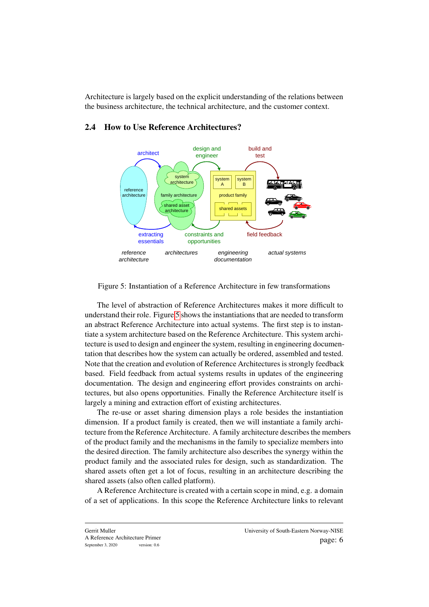Architecture is largely based on the explicit understanding of the relations between the business architecture, the technical architecture, and the customer context.



## 2.4 How to Use Reference Architectures?

<span id="page-6-0"></span>Figure 5: Instantiation of a Reference Architecture in few transformations

The level of abstraction of Reference Architectures makes it more difficult to understand their role. Figure [5](#page-6-0) shows the instantiations that are needed to transform an abstract Reference Architecture into actual systems. The first step is to instantiate a system architecture based on the Reference Architecture. This system architecture is used to design and engineer the system, resulting in engineering documentation that describes how the system can actually be ordered, assembled and tested. Note that the creation and evolution of Reference Architectures is strongly feedback based. Field feedback from actual systems results in updates of the engineering documentation. The design and engineering effort provides constraints on architectures, but also opens opportunities. Finally the Reference Architecture itself is largely a mining and extraction effort of existing architectures.

The re-use or asset sharing dimension plays a role besides the instantiation dimension. If a product family is created, then we will instantiate a family architecture from the Reference Architecture. A family architecture describes the members of the product family and the mechanisms in the family to specialize members into the desired direction. The family architecture also describes the synergy within the product family and the associated rules for design, such as standardization. The shared assets often get a lot of focus, resulting in an architecture describing the shared assets (also often called platform).

A Reference Architecture is created with a certain scope in mind, e.g. a domain of a set of applications. In this scope the Reference Architecture links to relevant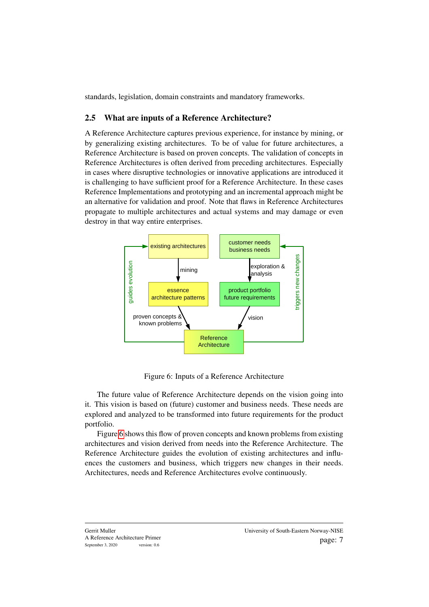standards, legislation, domain constraints and mandatory frameworks.

#### <span id="page-7-0"></span>2.5 What are inputs of a Reference Architecture?

A Reference Architecture captures previous experience, for instance by mining, or by generalizing existing architectures. To be of value for future architectures, a Reference Architecture is based on proven concepts. The validation of concepts in Reference Architectures is often derived from preceding architectures. Especially in cases where disruptive technologies or innovative applications are introduced it is challenging to have sufficient proof for a Reference Architecture. In these cases Reference Implementations and prototyping and an incremental approach might be an alternative for validation and proof. Note that flaws in Reference Architectures propagate to multiple architectures and actual systems and may damage or even destroy in that way entire enterprises.



<span id="page-7-1"></span>Figure 6: Inputs of a Reference Architecture

The future value of Reference Architecture depends on the vision going into it. This vision is based on (future) customer and business needs. These needs are explored and analyzed to be transformed into future requirements for the product portfolio.

Figure [6](#page-7-1) shows this flow of proven concepts and known problems from existing architectures and vision derived from needs into the Reference Architecture. The Reference Architecture guides the evolution of existing architectures and influences the customers and business, which triggers new changes in their needs. Architectures, needs and Reference Architectures evolve continuously.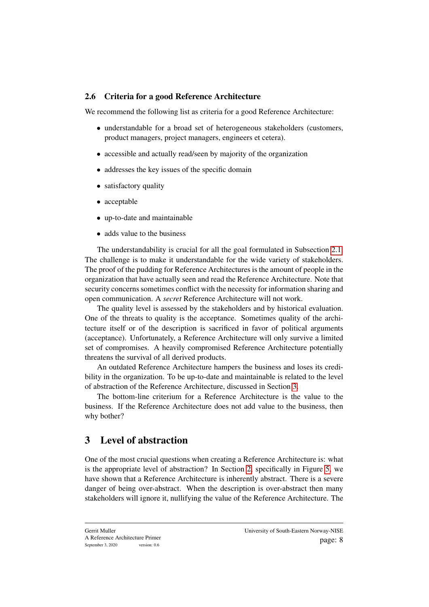### <span id="page-8-1"></span>2.6 Criteria for a good Reference Architecture

We recommend the following list as criteria for a good Reference Architecture:

- understandable for a broad set of heterogeneous stakeholders (customers, product managers, project managers, engineers et cetera).
- accessible and actually read/seen by majority of the organization
- addresses the key issues of the specific domain
- satisfactory quality
- acceptable
- up-to-date and maintainable
- adds value to the business

The understandability is crucial for all the goal formulated in Subsection [2.1.](#page-1-1) The challenge is to make it understandable for the wide variety of stakeholders. The proof of the pudding for Reference Architectures is the amount of people in the organization that have actually seen and read the Reference Architecture. Note that security concerns sometimes conflict with the necessity for information sharing and open communication. A *secret* Reference Architecture will not work.

The quality level is assessed by the stakeholders and by historical evaluation. One of the threats to quality is the acceptance. Sometimes quality of the architecture itself or of the description is sacrificed in favor of political arguments (acceptance). Unfortunately, a Reference Architecture will only survive a limited set of compromises. A heavily compromised Reference Architecture potentially threatens the survival of all derived products.

An outdated Reference Architecture hampers the business and loses its credibility in the organization. To be up-to-date and maintainable is related to the level of abstraction of the Reference Architecture, discussed in Section [3.](#page-8-0)

The bottom-line criterium for a Reference Architecture is the value to the business. If the Reference Architecture does not add value to the business, then why bother?

# <span id="page-8-0"></span>3 Level of abstraction

One of the most crucial questions when creating a Reference Architecture is: what is the appropriate level of abstraction? In Section [2,](#page-1-0) specifically in Figure [5,](#page-6-0) we have shown that a Reference Architecture is inherently abstract. There is a severe danger of being over-abstract. When the description is over-abstract then many stakeholders will ignore it, nullifying the value of the Reference Architecture. The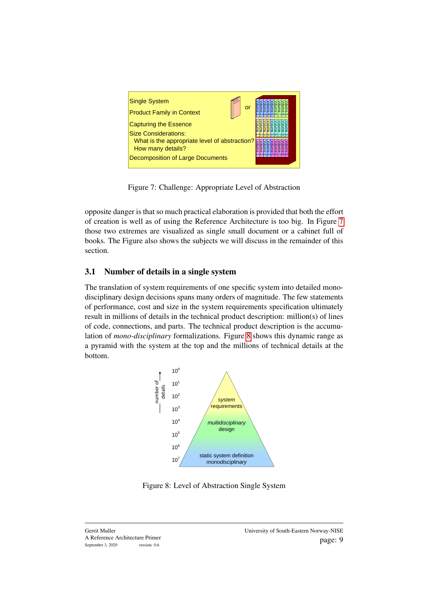

Figure 7: Challenge: Appropriate Level of Abstraction

<span id="page-9-0"></span>opposite danger is that so much practical elaboration is provided that both the effort of creation is well as of using the Reference Architecture is too big. In Figure [7](#page-9-0) those two extremes are visualized as single small document or a cabinet full of books. The Figure also shows the subjects we will discuss in the remainder of this section.

# 3.1 Number of details in a single system

The translation of system requirements of one specific system into detailed monodisciplinary design decisions spans many orders of magnitude. The few statements of performance, cost and size in the system requirements specification ultimately result in millions of details in the technical product description: million(s) of lines of code, connections, and parts. The technical product description is the accumulation of *mono-disciplinary* formalizations. Figure [8](#page-9-1) shows this dynamic range as a pyramid with the system at the top and the millions of technical details at the bottom.



<span id="page-9-1"></span>Figure 8: Level of Abstraction Single System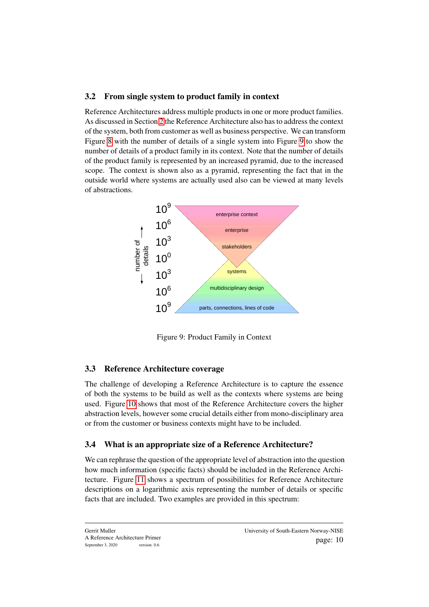## 3.2 From single system to product family in context

Reference Architectures address multiple products in one or more product families. As discussed in Section [2](#page-1-0) the Reference Architecture also has to address the context of the system, both from customer as well as business perspective. We can transform Figure [8](#page-9-1) with the number of details of a single system into Figure [9](#page-10-0) to show the number of details of a product family in its context. Note that the number of details of the product family is represented by an increased pyramid, due to the increased scope. The context is shown also as a pyramid, representing the fact that in the outside world where systems are actually used also can be viewed at many levels of abstractions.



<span id="page-10-0"></span>Figure 9: Product Family in Context

## 3.3 Reference Architecture coverage

The challenge of developing a Reference Architecture is to capture the essence of both the systems to be build as well as the contexts where systems are being used. Figure [10](#page-11-0) shows that most of the Reference Architecture covers the higher abstraction levels, however some crucial details either from mono-disciplinary area or from the customer or business contexts might have to be included.

## 3.4 What is an appropriate size of a Reference Architecture?

We can rephrase the question of the appropriate level of abstraction into the question how much information (specific facts) should be included in the Reference Architecture. Figure [11](#page-12-0) shows a spectrum of possibilities for Reference Architecture descriptions on a logarithmic axis representing the number of details or specific facts that are included. Two examples are provided in this spectrum: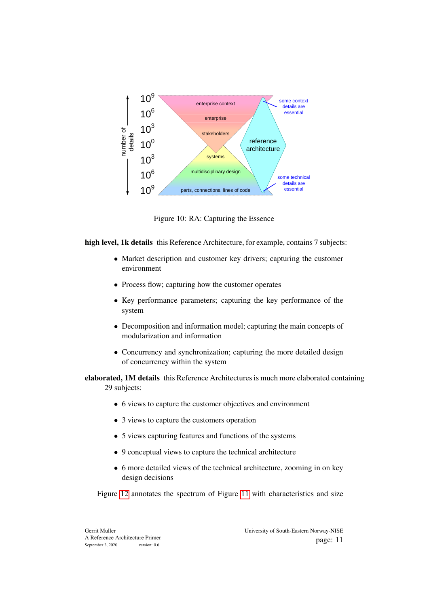

<span id="page-11-0"></span>Figure 10: RA: Capturing the Essence

high level. 1k details this Reference Architecture, for example, contains 7 subjects:

- Market description and customer key drivers; capturing the customer environment
- Process flow; capturing how the customer operates
- Key performance parameters; capturing the key performance of the system
- Decomposition and information model; capturing the main concepts of modularization and information
- Concurrency and synchronization; capturing the more detailed design of concurrency within the system

elaborated, 1M details this Reference Architectures is much more elaborated containing 29 subjects:

- 6 views to capture the customer objectives and environment
- 3 views to capture the customers operation
- 5 views capturing features and functions of the systems
- 9 conceptual views to capture the technical architecture
- 6 more detailed views of the technical architecture, zooming in on key design decisions

Figure [12](#page-13-1) annotates the spectrum of Figure [11](#page-12-0) with characteristics and size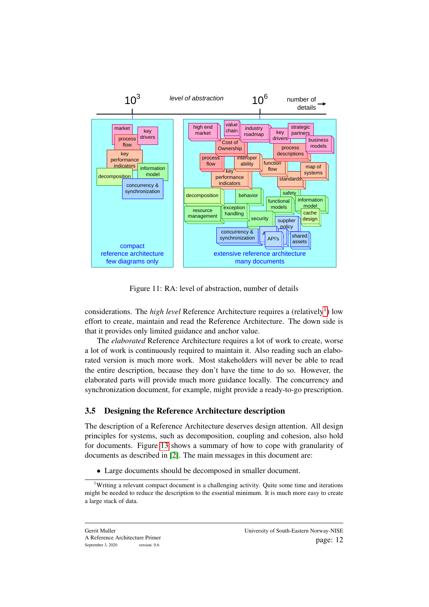

<span id="page-12-0"></span>Figure 11: RA: level of abstraction, number of details

considerations. The *high level* Reference Architecture requires a (relatively<sup>[1](#page-12-1)</sup>) low effort to create, maintain and read the Reference Architecture. The down side is that it provides only limited guidance and anchor value.

The *elaborated* Reference Architecture requires a lot of work to create, worse a lot of work is continuously required to maintain it. Also reading such an elaborated version is much more work. Most stakeholders will never be able to read the entire description, because they don't have the time to do so. However, the elaborated parts will provide much more guidance locally. The concurrency and synchronization document, for example, might provide a ready-to-go prescription.

### 3.5 Designing the Reference Architecture description

The description of a Reference Architecture deserves design attention. All design principles for systems, such as decomposition, coupling and cohesion, also hold for documents. Figure [13](#page-14-0) shows a summary of how to cope with granularity of documents as described in [\[2\]](#page-19-2). The main messages in this document are:

• Large documents should be decomposed in smaller document.

<span id="page-12-1"></span><sup>&</sup>lt;sup>1</sup>Writing a relevant compact document is a challenging activity. Quite some time and iterations might be needed to reduce the description to the essential minimum. It is much more easy to create a large stack of data.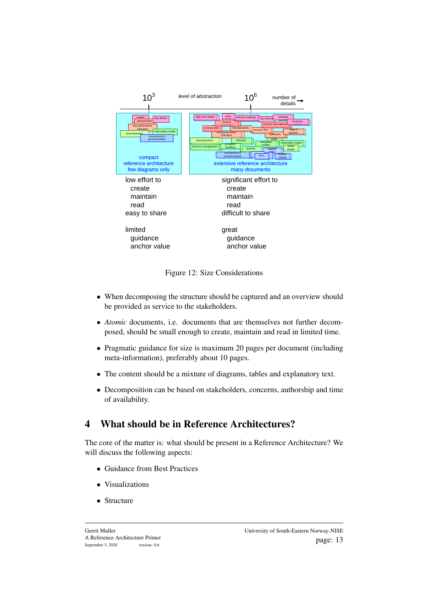

<span id="page-13-1"></span>Figure 12: Size Considerations

- When decomposing the structure should be captured and an overview should be provided as service to the stakeholders.
- *Atomic* documents, i.e. documents that are themselves not further decomposed, should be small enough to create, maintain and read in limited time.
- Pragmatic guidance for size is maximum 20 pages per document (including meta-information), preferably about 10 pages.
- The content should be a mixture of diagrams, tables and explanatory text.
- Decomposition can be based on stakeholders, concerns, authorship and time of availability.

# <span id="page-13-0"></span>4 What should be in Reference Architectures?

The core of the matter is: what should be present in a Reference Architecture? We will discuss the following aspects:

- Guidance from Best Practices
- Visualizations
- Structure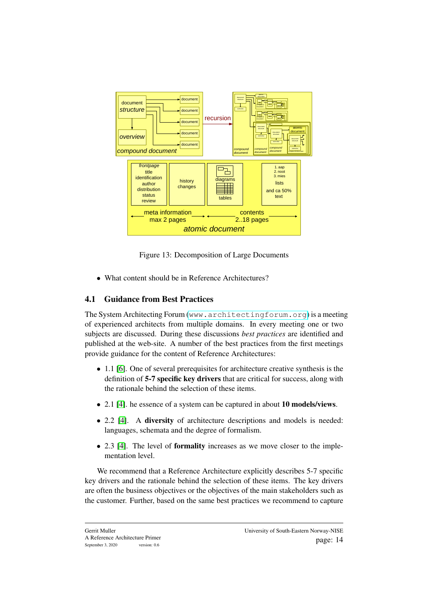

<span id="page-14-0"></span>Figure 13: Decomposition of Large Documents

• What content should be in Reference Architectures?

# 4.1 Guidance from Best Practices

The System Architecting Forum (<www.architectingforum.org>) is a meeting of experienced architects from multiple domains. In every meeting one or two subjects are discussed. During these discussions *best practices* are identified and published at the web-site. A number of the best practices from the first meetings provide guidance for the content of Reference Architectures:

- 1.1 [\[6\]](#page-19-3). One of several prerequisites for architecture creative synthesis is the definition of 5-7 specific key drivers that are critical for success, along with the rationale behind the selection of these items.
- 2.1 [\[4\]](#page-19-4). he essence of a system can be captured in about 10 models/views.
- 2.2 [\[4\]](#page-19-4). A diversity of architecture descriptions and models is needed: languages, schemata and the degree of formalism.
- 2.3 [\[4\]](#page-19-4). The level of **formality** increases as we move closer to the implementation level.

We recommend that a Reference Architecture explicitly describes 5-7 specific key drivers and the rationale behind the selection of these items. The key drivers are often the business objectives or the objectives of the main stakeholders such as the customer. Further, based on the same best practices we recommend to capture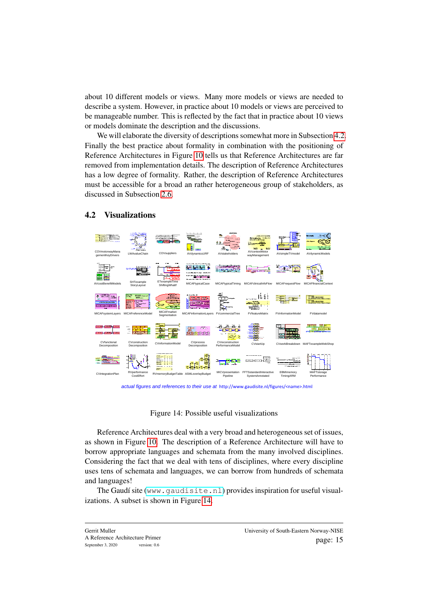about 10 different models or views. Many more models or views are needed to describe a system. However, in practice about 10 models or views are perceived to be manageable number. This is reflected by the fact that in practice about 10 views or models dominate the description and the discussions.

We will elaborate the diversity of descriptions somewhat more in Subsection [4.2.](#page-15-0) Finally the best practice about formality in combination with the positioning of Reference Architectures in Figure [10](#page-11-0) tells us that Reference Architectures are far removed from implementation details. The description of Reference Architectures has a low degree of formality. Rather, the description of Reference Architectures must be accessible for a broad an rather heterogeneous group of stakeholders, as discussed in Subsection [2.6.](#page-8-1)



#### <span id="page-15-0"></span>4.2 Visualizations

*actual figures and references to their use at* http://www.gaudisite.nl/figures/<name>.html

#### <span id="page-15-1"></span>Figure 14: Possible useful visualizations

Reference Architectures deal with a very broad and heterogeneous set of issues, as shown in Figure [10.](#page-11-0) The description of a Reference Architecture will have to borrow appropriate languages and schemata from the many involved disciplines. Considering the fact that we deal with tens of disciplines, where every discipline uses tens of schemata and languages, we can borrow from hundreds of schemata and languages!

The Gaudí site (<www.gaudisite.nl>) provides inspiration for useful visualizations. A subset is shown in Figure [14.](#page-15-1)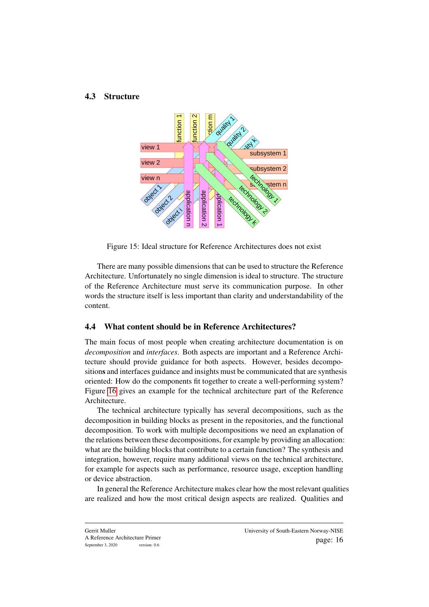#### 4.3 Structure



Figure 15: Ideal structure for Reference Architectures does not exist

There are many possible dimensions that can be used to structure the Reference Architecture. Unfortunately no single dimension is ideal to structure. The structure of the Reference Architecture must serve its communication purpose. In other words the structure itself is less important than clarity and understandability of the content.

#### 4.4 What content should be in Reference Architectures?

The main focus of most people when creating architecture documentation is on *decomposition* and *interfaces*. Both aspects are important and a Reference Architecture should provide guidance for both aspects. However, besides decompositions and interfaces guidance and insights must be communicated that are synthesis oriented: How do the components fit together to create a well-performing system? Figure [16](#page-17-0) gives an example for the technical architecture part of the Reference Architecture.

The technical architecture typically has several decompositions, such as the decomposition in building blocks as present in the repositories, and the functional decomposition. To work with multiple decompositions we need an explanation of the relations between these decompositions, for example by providing an allocation: what are the building blocks that contribute to a certain function? The synthesis and integration, however, require many additional views on the technical architecture, for example for aspects such as performance, resource usage, exception handling or device abstraction.

In general the Reference Architecture makes clear how the most relevant qualities are realized and how the most critical design aspects are realized. Qualities and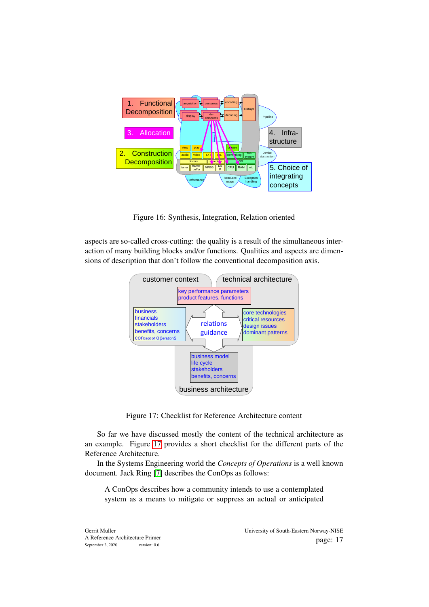

<span id="page-17-0"></span>Figure 16: Synthesis, Integration, Relation oriented

aspects are so-called cross-cutting: the quality is a result of the simultaneous interaction of many building blocks and/or functions. Qualities and aspects are dimensions of description that don't follow the conventional decomposition axis.



<span id="page-17-1"></span>Figure 17: Checklist for Reference Architecture content

So far we have discussed mostly the content of the technical architecture as an example. Figure [17](#page-17-1) provides a short checklist for the different parts of the Reference Architecture.

In the Systems Engineering world the *Concepts of Operations* is a well known document. Jack Ring [\[7\]](#page-20-1) describes the ConOps as follows:

A ConOps describes how a community intends to use a contemplated system as a means to mitigate or suppress an actual or anticipated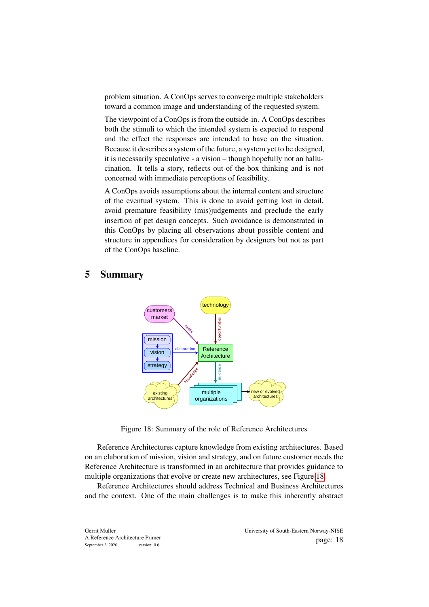problem situation. A ConOps serves to converge multiple stakeholders toward a common image and understanding of the requested system.

The viewpoint of a ConOps is from the outside-in. A ConOps describes both the stimuli to which the intended system is expected to respond and the effect the responses are intended to have on the situation. Because it describes a system of the future, a system yet to be designed, it is necessarily speculative - a vision – though hopefully not an hallucination. It tells a story, reflects out-of-the-box thinking and is not concerned with immediate perceptions of feasibility.

A ConOps avoids assumptions about the internal content and structure of the eventual system. This is done to avoid getting lost in detail, avoid premature feasibility (mis)judgements and preclude the early insertion of pet design concepts. Such avoidance is demonstrated in this ConOps by placing all observations about possible content and structure in appendices for consideration by designers but not as part of the ConOps baseline.

## 5 Summary



<span id="page-18-0"></span>Figure 18: Summary of the role of Reference Architectures

Reference Architectures capture knowledge from existing architectures. Based on an elaboration of mission, vision and strategy, and on future customer needs the Reference Architecture is transformed in an architecture that provides guidance to multiple organizations that evolve or create new architectures, see Figure [18.](#page-18-0)

Reference Architectures should address Technical and Business Architectures and the context. One of the main challenges is to make this inherently abstract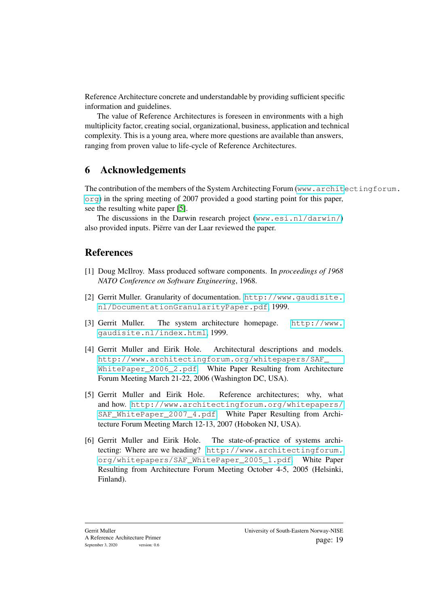Reference Architecture concrete and understandable by providing sufficient specific information and guidelines.

The value of Reference Architectures is foreseen in environments with a high multiplicity factor, creating social, organizational, business, application and technical complexity. This is a young area, where more questions are available than answers, ranging from proven value to life-cycle of Reference Architectures.

# 6 Acknowledgements

The contribution of the members of the System Architecting Forum ([www.archit](www.architectingforum.org)ectingforum. [org](www.architectingforum.org)) in the spring meeting of 2007 provided a good starting point for this paper, see the resulting white paper [\[5\]](#page-19-0).

The discussions in the Darwin research project (<www.esi.nl/darwin/>) also provided inputs. Piërre van der Laar reviewed the paper.

# References

- <span id="page-19-1"></span>[1] Doug McIlroy. Mass produced software components. In *proceedings of 1968 NATO Conference on Software Engineering*, 1968.
- <span id="page-19-2"></span>[2] Gerrit Muller. Granularity of documentation. [http://www.gaudisite.](http://www.gaudisite.nl/DocumentationGranularityPaper.pdf) [nl/DocumentationGranularityPaper.pdf](http://www.gaudisite.nl/DocumentationGranularityPaper.pdf), 1999.
- [3] Gerrit Muller. The system architecture homepage. [http://www.](http://www.gaudisite.nl/index.html) [gaudisite.nl/index.html](http://www.gaudisite.nl/index.html), 1999.
- <span id="page-19-4"></span>[4] Gerrit Muller and Eirik Hole. Architectural descriptions and models. [http://www.architectingforum.org/whitepapers/SAF\\_](http://www.architectingforum.org/whitepapers/SAF_WhitePaper_2006_2.pdf) [WhitePaper\\_2006\\_2.pdf](http://www.architectingforum.org/whitepapers/SAF_WhitePaper_2006_2.pdf). White Paper Resulting from Architecture Forum Meeting March 21-22, 2006 (Washington DC, USA).
- <span id="page-19-0"></span>[5] Gerrit Muller and Eirik Hole. Reference architectures; why, what and how. [http://www.architectingforum.org/whitepapers/](http://www.architectingforum.org/whitepapers/SAF_WhitePaper_2007_4.pdf) SAF WhitePaper 2007 4.pdf. White Paper Resulting from Architecture Forum Meeting March 12-13, 2007 (Hoboken NJ, USA).
- <span id="page-19-3"></span>[6] Gerrit Muller and Eirik Hole. The state-of-practice of systems architecting: Where are we heading? [http://www.architectingforum.](http://www.architectingforum.org/whitepapers/SAF_WhitePaper_2005_1.pdf) [org/whitepapers/SAF\\_WhitePaper\\_2005\\_1.pdf](http://www.architectingforum.org/whitepapers/SAF_WhitePaper_2005_1.pdf). White Paper Resulting from Architecture Forum Meeting October 4-5, 2005 (Helsinki, Finland).